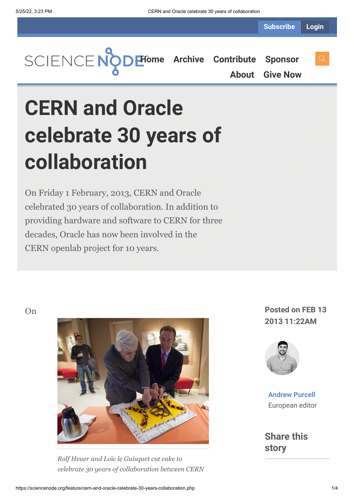**Subscribe Login**



**[About](https://sciencenode.org/about/index.php) [Give Now](https://sciencenode.org/donate/index.php)**

# **CERN and Oracle celebrate 30 years of collaboration**

On Friday 1 February, 2013, CERN and Oracle celebrated 30 years of collaboration. In addition to providing hardware and software to CERN for three decades, Oracle has now been involved in the CERN openlab project for 10 years.



*Rolf Heuer and Loïc le Guisquet cut cake to celebrate 30 years of collaboration between CERN*

**2013 11:22AM**



**[Andrew Purcell](https://sciencenode.org/author/andrew-purcell.php)** European editor

**Share this story**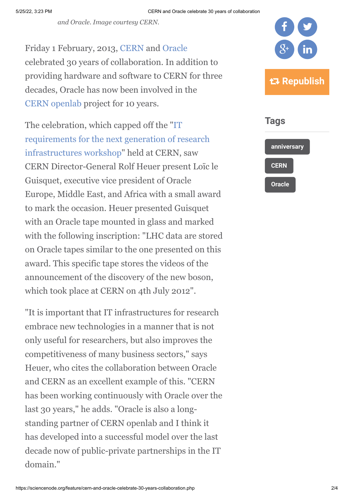*and Oracle. Image courtesy CERN.*

Friday 1 February, 2013, [CERN](http://www.cern.ch/) and [Oracle](http://www.oracle.com/index.html) celebrated 30 years of collaboration. In addition to providing hardware and software to CERN for three decades, Oracle has now been involved in the [CERN openlab](http://openlab.web.cern.ch/) project for 10 years.

The celebration, which capped off the "IT [requirements for the next generation of research](http://www.isgtw.org/feature/next-generation-scientific-computing) infrastructures workshop" held at CERN, saw CERN Director-General Rolf Heuer present Loïc le Guisquet, executive vice president of Oracle Europe, Middle East, and Africa with a small award to mark the occasion. Heuer presented Guisquet with an Oracle tape mounted in glass and marked with the following inscription: "LHC data are stored on Oracle tapes similar to the one presented on this award. This specific tape stores the videos of the announcement of the discovery of the new boson, which took place at CERN on 4th July 2012".

"It is important that IT infrastructures for research embrace new technologies in a manner that is not only useful for researchers, but also improves the competitiveness of many business sectors," says Heuer, who cites the collaboration between Oracle and CERN as an excellent example of this. "CERN has been working continuously with Oracle over the last 30 years," he adds. "Oracle is also a longstanding partner of CERN openlab and I think it has developed into a successful model over the last decade now of public-private partnerships in the IT domain."



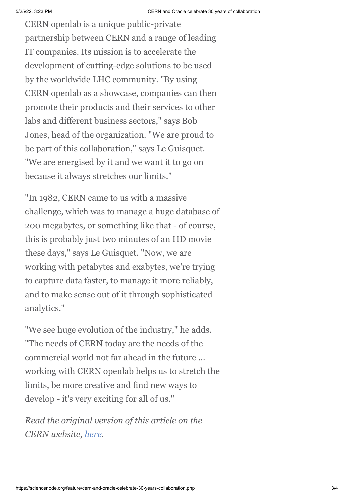CERN openlab is a unique public-private partnership between CERN and a range of leading IT companies. Its mission is to accelerate the development of cutting-edge solutions to be used by the worldwide LHC community. "By using CERN openlab as a showcase, companies can then promote their products and their services to other labs and different business sectors," says Bob Jones, head of the organization. "We are proud to be part of this collaboration," says Le Guisquet. "We are energised by it and we want it to go on because it always stretches our limits."

"In 1982, CERN came to us with a massive challenge, which was to manage a huge database of 200 megabytes, or something like that - of course, this is probably just two minutes of an HD movie these days," says Le Guisquet. "Now, we are working with petabytes and exabytes, we're trying to capture data faster, to manage it more reliably, and to make sense out of it through sophisticated analytics."

"We see huge evolution of the industry," he adds. "The needs of CERN today are the needs of the commercial world not far ahead in the future ... working with CERN openlab helps us to stretch the limits, be more creative and find new ways to develop - it's very exciting for all of us."

*Read the original version of this article on the CERN website, [here](http://home.web.cern.ch/about/updates/2013/02/cern-and-oracle-celebrate-30-years-collaboration).*